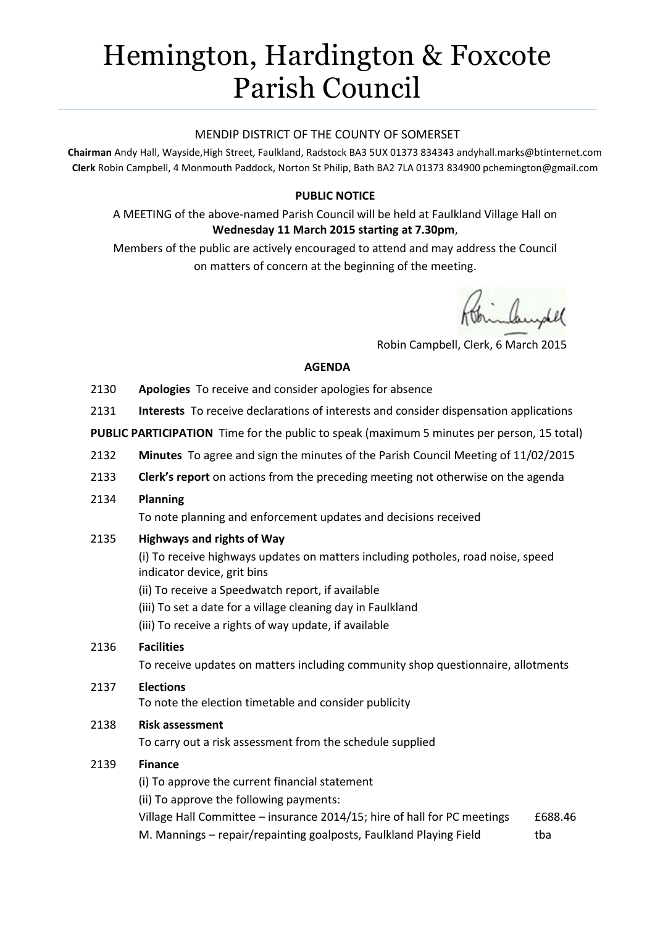# Hemington, Hardington & Foxcote Parish Council

## MENDIP DISTRICT OF THE COUNTY OF SOMERSET

**Chairman** Andy Hall, Wayside,High Street, Faulkland, Radstock BA3 5UX 01373 834343 andyhall.marks@btinternet.com **Clerk** Robin Campbell, 4 Monmouth Paddock, Norton St Philip, Bath BA2 7LA 01373 834900 [pchemington@gmail.com](mailto:pchemington@gmail.com)

# **PUBLIC NOTICE**

A MEETING of the above-named Parish Council will be held at Faulkland Village Hall on **Wednesday 11 March 2015 starting at 7.30pm**,

Members of the public are actively encouraged to attend and may address the Council on matters of concern at the beginning of the meeting.

Robin Campbell, Clerk, 6 March 2015

#### **AGENDA**

- 2130 **Apologies** To receive and consider apologies for absence
- 2131 **Interests** To receive declarations of interests and consider dispensation applications

**PUBLIC PARTICIPATION** Time for the public to speak (maximum 5 minutes per person, 15 total)

- 2132 **Minutes** To agree and sign the minutes of the Parish Council Meeting of 11/02/2015
- 2133 **Clerk's report** on actions from the preceding meeting not otherwise on the agenda
- 2134 **Planning**

To note planning and enforcement updates and decisions received

2135 **Highways and rights of Way**

(i) To receive highways updates on matters including potholes, road noise, speed indicator device, grit bins

- (ii) To receive a Speedwatch report, if available
- (iii) To set a date for a village cleaning day in Faulkland
- (iii) To receive a rights of way update, if available

#### 2136 **Facilities**

To receive updates on matters including community shop questionnaire, allotments

## 2137 **Elections**

To note the election timetable and consider publicity

## 2138 **Risk assessment**

To carry out a risk assessment from the schedule supplied

#### 2139 **Finance**

(i) To approve the current financial statement

(ii) To approve the following payments:

Village Hall Committee – insurance 2014/15; hire of hall for PC meetings £688.46 M. Mannings – repair/repainting goalposts, Faulkland Playing Field tha